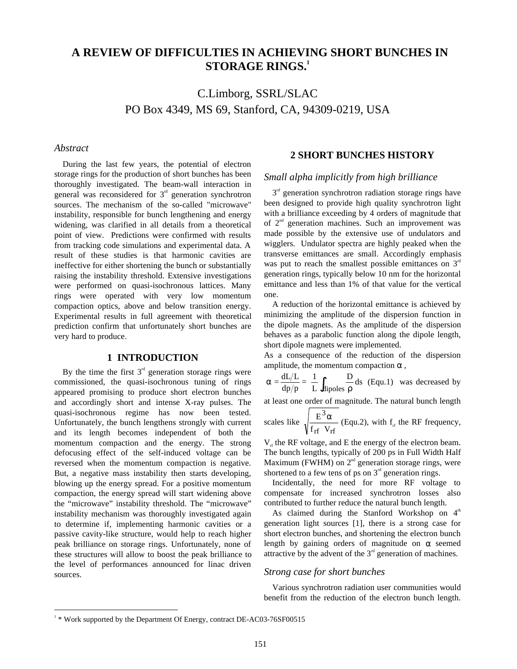# **A REVIEW OF DIFFICULTIES IN ACHIEVING SHORT BUNCHES IN STORAGE RINGS.1**

C.Limborg, SSRL/SLAC PO Box 4349, MS 69, Stanford, CA, 94309-0219, USA

# *Abstract*

During the last few years, the potential of electron storage rings for the production of short bunches has been thoroughly investigated. The beam-wall interaction in general was reconsidered for  $3<sup>rd</sup>$  generation synchrotron sources. The mechanism of the so-called "microwave" instability, responsible for bunch lengthening and energy widening, was clarified in all details from a theoretical point of view. Predictions were confirmed with results from tracking code simulations and experimental data. A result of these studies is that harmonic cavities are ineffective for either shortening the bunch or substantially raising the instability threshold. Extensive investigations were performed on quasi-isochronous lattices. Many rings were operated with very low momentum compaction optics, above and below transition energy. Experimental results in full agreement with theoretical prediction confirm that unfortunately short bunches are very hard to produce.

# **1 INTRODUCTION**

By the time the first  $3<sup>rd</sup>$  generation storage rings were commissioned, the quasi-isochronous tuning of rings appeared promising to produce short electron bunches and accordingly short and intense X-ray pulses. The quasi-isochronous regime has now been tested. Unfortunately, the bunch lengthens strongly with current and its length becomes independent of both the momentum compaction and the energy. The strong defocusing effect of the self-induced voltage can be reversed when the momentum compaction is negative. But, a negative mass instability then starts developing, blowing up the energy spread. For a positive momentum compaction, the energy spread will start widening above the "microwave" instability threshold. The "microwave" instability mechanism was thoroughly investigated again to determine if, implementing harmonic cavities or a passive cavity-like structure, would help to reach higher peak brilliance on storage rings. Unfortunately, none of these structures will allow to boost the peak brilliance to the level of performances announced for linac driven sources.

# **2 SHORT BUNCHES HISTORY**

# *Small alpha implicitly from high brilliance*

 $3<sup>rd</sup>$  generation synchrotron radiation storage rings have been designed to provide high quality synchrotron light with a brilliance exceeding by 4 orders of magnitude that of  $2<sup>nd</sup>$  generation machines. Such an improvement was made possible by the extensive use of undulators and wigglers. Undulator spectra are highly peaked when the transverse emittances are small. Accordingly emphasis was put to reach the smallest possible emittances on  $3<sup>rd</sup>$ generation rings, typically below 10 nm for the horizontal emittance and less than 1% of that value for the vertical one.

A reduction of the horizontal emittance is achieved by minimizing the amplitude of the dispersion function in the dipole magnets. As the amplitude of the dispersion behaves as a parabolic function along the dipole length, short dipole magnets were implemented.

As a consequence of the reduction of the dispersion amplitude, the momentum compaction  $\alpha$ .

$$
\alpha = \frac{dL/L}{dp/p} = \frac{1}{L} \int_{dipoles} \frac{D}{\rho} ds
$$
 (Equ.1) was decreased by

at least one order of magnitude. The natural bunch length

scales like 
$$
\sqrt{\frac{E^3 \alpha}{f_{rf} V_{rf}}}
$$
 (Equ.2), with  $f_{rf}$  the RF frequency,

 $V_{rf}$  the RF voltage, and E the energy of the electron beam. The bunch lengths, typically of 200 ps in Full Width Half Maximum (FWHM) on  $2<sup>nd</sup>$  generation storage rings, were shortened to a few tens of ps on  $3<sup>rd</sup>$  generation rings.

Incidentally, the need for more RF voltage to compensate for increased synchrotron losses also contributed to further reduce the natural bunch length.

As claimed during the Stanford Workshop on  $4<sup>th</sup>$ generation light sources [1], there is a strong case for short electron bunches, and shortening the electron bunch length by gaining orders of magnitude on  $\alpha$  seemed attractive by the advent of the  $3<sup>rd</sup>$  generation of machines.

### *Strong case for short bunches*

Various synchrotron radiation user communities would benefit from the reduction of the electron bunch length.

<sup>&</sup>lt;sup>1</sup> \* Work supported by the Department Of Energy, contract DE-AC03-76SF00515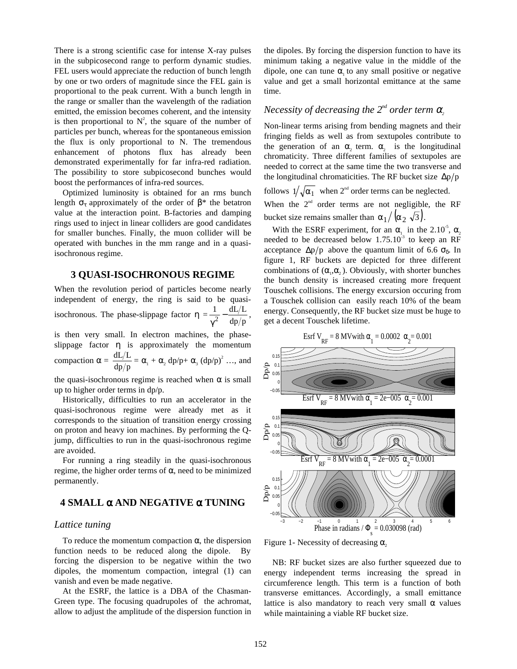There is a strong scientific case for intense X-ray pulses in the subpicosecond range to perform dynamic studies. FEL users would appreciate the reduction of bunch length by one or two orders of magnitude since the FEL gain is proportional to the peak current. With a bunch length in the range or smaller than the wavelength of the radiation emitted, the emission becomes coherent, and the intensity is then proportional to  $N^2$ , the square of the number of particles per bunch, whereas for the spontaneous emission the flux is only proportional to N. The tremendous enhancement of photons flux has already been demonstrated experimentally for far infra-red radiation. The possibility to store subpicosecond bunches would boost the performances of infra-red sources.

Optimized luminosity is obtained for an rms bunch length  $\sigma_{\tau}$  approximately of the order of  $\beta^*$  the betatron value at the interaction point. B-factories and damping rings used to inject in linear colliders are good candidates for smaller bunches. Finally, the muon collider will be operated with bunches in the mm range and in a quasiisochronous regime.

# **3 QUASI-ISOCHRONOUS REGIME**

When the revolution period of particles become nearly independent of energy, the ring is said to be quasiisochronous. The phase-slippage factor  $\eta = \frac{1}{\gamma^2} - \frac{dL/L}{dp/p}$ , is then very small. In electron machines, the phaseslippage factor  $\eta$  is approximately the momentum

compaction  $\alpha = \frac{dL/L}{dp/p} = \alpha_1 + \alpha_2 dp/p + \alpha_3 (dp/p)^2 ...$ , and

the quasi-isochronous regime is reached when  $\alpha$  is small up to higher order terms in dp/p.

Historically, difficulties to run an accelerator in the quasi-isochronous regime were already met as it corresponds to the situation of transition energy crossing on proton and heavy ion machines. By performing the Qjump, difficulties to run in the quasi-isochronous regime are avoided.

For running a ring steadily in the quasi-isochronous regime, the higher order terms of α, need to be minimized permanently.

# **4 SMALL** α **AND NEGATIVE** α **TUNING**

# *Lattice tuning*

To reduce the momentum compaction  $\alpha$ , the dispersion function needs to be reduced along the dipole. By forcing the dispersion to be negative within the two dipoles, the momentum compaction, integral (1) can vanish and even be made negative.

At the ESRF, the lattice is a DBA of the Chasman-Green type. The focusing quadrupoles of the achromat, allow to adjust the amplitude of the dispersion function in the dipoles. By forcing the dispersion function to have its minimum taking a negative value in the middle of the dipole, one can tune  $\alpha$  to any small positive or negative value and get a small horizontal emittance at the same time.

# *Necessity of decreasing the*  $2^{nd}$  *order term*  $\alpha$ *,*

Non-linear terms arising from bending magnets and their fringing fields as well as from sextupoles contribute to the generation of an  $\alpha_2$  term.  $\alpha_2$  is the longitudinal chromaticity. Three different families of sextupoles are needed to correct at the same time the two transverse and the longitudinal chromaticities. The RF bucket size  $\Delta p/p$ 

follows  $1/\sqrt{\alpha_1}$  when  $2^{nd}$  order terms can be neglected. When the  $2<sup>nd</sup>$  order terms are not negligible, the RF bucket size remains smaller than  $\alpha_1 / (\alpha_2 \sqrt{3})$ .

With the ESRF experiment, for an  $\alpha_1$  in the 2.10<sup>-5</sup>,  $\alpha_2$ needed to be decreased below  $1.75.10^{-3}$  to keep an RF acceptance  $\Delta p/p$  above the quantum limit of 6.6  $\sigma_{\delta}$ . In figure 1, RF buckets are depicted for three different combinations of  $(\alpha_1, \alpha_2)$ . Obviously, with shorter bunches the bunch density is increased creating more frequent Touschek collisions. The energy excursion occuring from a Touschek collision can easily reach 10% of the beam energy. Consequently, the RF bucket size must be huge to get a decent Touschek lifetime.

Esrf V<sub>RF</sub> = 8 MV with  $\alpha_1 = 0.0002$   $\alpha_2 = 0.001$ 



Figure 1- Necessity of decreasing  $\alpha$ ,

NB: RF bucket sizes are also further squeezed due to energy independent terms increasing the spread in circumference length. This term is a function of both transverse emittances. Accordingly, a small emittance lattice is also mandatory to reach very small  $\alpha$  values while maintaining a viable RF bucket size.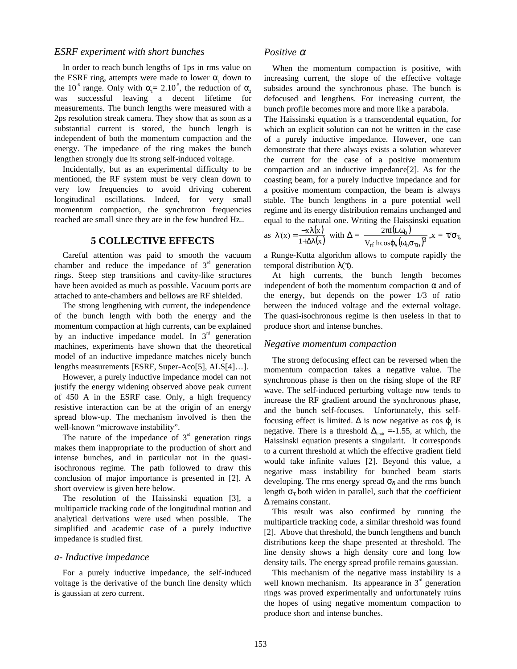### *ESRF experiment with short bunches*

In order to reach bunch lengths of 1ps in rms value on the ESRF ring, attempts were made to lower  $\alpha_1$  down to the 10<sup>-6</sup> range. Only with  $\alpha_1 = 2.10^{-5}$ , the reduction of  $\alpha_2$ was successful leaving a decent lifetime for measurements. The bunch lengths were measured with a 2ps resolution streak camera. They show that as soon as a substantial current is stored, the bunch length is independent of both the momentum compaction and the energy. The impedance of the ring makes the bunch lengthen strongly due its strong self-induced voltage.

Incidentally, but as an experimental difficulty to be mentioned, the RF system must be very clean down to very low frequencies to avoid driving coherent longitudinal oscillations. Indeed, for very small momentum compaction, the synchrotron frequencies reached are small since they are in the few hundred Hz..

# **5 COLLECTIVE EFFECTS**

Careful attention was paid to smooth the vacuum chamber and reduce the impedance of  $3<sup>rd</sup>$  generation rings. Steep step transitions and cavity-like structures have been avoided as much as possible. Vacuum ports are attached to ante-chambers and bellows are RF shielded.

The strong lengthening with current, the independence of the bunch length with both the energy and the momentum compaction at high currents, can be explained by an inductive impedance model. In  $3<sup>rd</sup>$  generation machines, experiments have shown that the theoretical model of an inductive impedance matches nicely bunch lengths measurements [ESRF, Super-Aco[5], ALS[4]…].

However, a purely inductive impedance model can not justify the energy widening observed above peak current of 450 A in the ESRF case. Only, a high frequency resistive interaction can be at the origin of an energy spread blow-up. The mechanism involved is then the well-known "microwave instability".

The nature of the impedance of  $3<sup>rd</sup>$  generation rings makes them inappropriate to the production of short and intense bunches, and in particular not in the quasiisochronous regime. The path followed to draw this conclusion of major importance is presented in [2]. A short overview is given here below.

The resolution of the Haissinski equation [3], a multiparticle tracking code of the longitudinal motion and analytical derivations were used when possible. The simplified and academic case of a purely inductive impedance is studied first.

#### *a- Inductive impedance*

For a purely inductive impedance, the self-induced voltage is the derivative of the bunch line density which is gaussian at zero current.

### *Positive* <sup>α</sup>

When the momentum compaction is positive, with increasing current, the slope of the effective voltage subsides around the synchronous phase. The bunch is defocused and lengthens. For increasing current, the bunch profile becomes more and more like a parabola.

The Haissinski equation is a transcendental equation, for which an explicit solution can not be written in the case of a purely inductive impedance. However, one can demonstrate that there always exists a solution whatever the current for the case of a positive momentum compaction and an inductive impedance[2]. As for the coasting beam, for a purely inductive impedance and for a positive momentum compaction, the beam is always stable. The bunch lengthens in a pure potential well regime and its energy distribution remains unchanged and equal to the natural one. Writing the Haissinski equation as  $\lambda'(x) = \frac{-x\lambda(x)}{1+\Delta\lambda(x)}$  with  $\Delta = \frac{2\pi I(L\omega_0)}{V_{\text{ref}} \log\omega_0(\omega_0)}$  $\epsilon_{\rm rf}$  h $\cos\phi_{\rm s} (\omega_{\rm o}\sigma_{\rm \tau \rm o})^3$ o  $V_{rf}$  hcos  $2\pi$ I(L  $\boldsymbol \varphi_{\rm s}(\omega_{\rm o}\boldsymbol \sigma_{\tau}$  $\frac{\pi {\rm I}({\rm L}\omega_{\rm o})}{\sqrt{3}}, {\rm x} \, = \, \tau/\sigma_{\tau_{\rm o}}$ 

a Runge-Kutta algorithm allows to compute rapidly the temporal distribution λ(τ).

At high currents, the bunch length becomes independent of both the momentum compaction  $\alpha$  and of the energy, but depends on the power 1/3 of ratio between the induced voltage and the external voltage. The quasi-isochronous regime is then useless in that to produce short and intense bunches.

#### *Negative momentum compaction*

The strong defocusing effect can be reversed when the momentum compaction takes a negative value. The synchronous phase is then on the rising slope of the RF wave. The self-induced perturbing voltage now tends to increase the RF gradient around the synchronous phase, and the bunch self-focuses. Unfortunately, this selffocusing effect is limited.  $\Delta$  is now negative as cos  $\varphi$  is negative. There is a threshold  $\Delta_{\text{limit}}$  =-1.55, at which, the Haissinski equation presents a singularit. It corresponds to a current threshold at which the effective gradient field would take infinite values [2]. Beyond this value, a negative mass instability for bunched beam starts developing. The rms energy spread  $\sigma_{\delta}$  and the rms bunch length  $\sigma_{\tau}$  both widen in parallel, such that the coefficient ∆ remains constant.

This result was also confirmed by running the multiparticle tracking code, a similar threshold was found [2]. Above that threshold, the bunch lengthens and bunch distributions keep the shape presented at threshold. The line density shows a high density core and long low density tails. The energy spread profile remains gaussian.

This mechanism of the negative mass instability is a well known mechanism. Its appearance in  $3<sup>rd</sup>$  generation rings was proved experimentally and unfortunately ruins the hopes of using negative momentum compaction to produce short and intense bunches.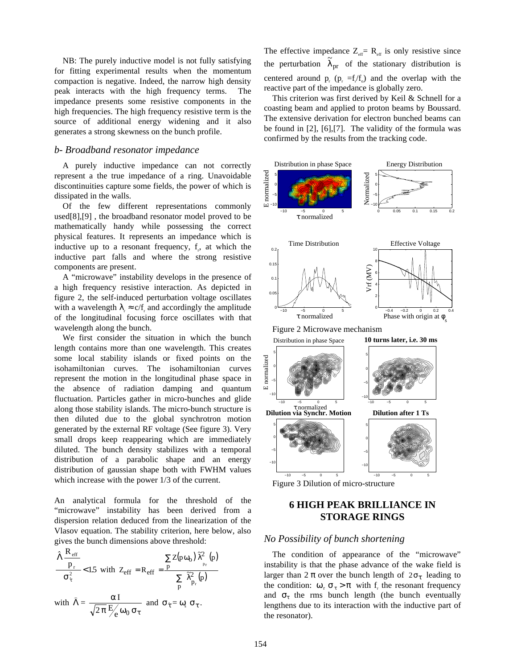NB: The purely inductive model is not fully satisfying for fitting experimental results when the momentum compaction is negative. Indeed, the narrow high density peak interacts with the high frequency terms. The impedance presents some resistive components in the high frequencies. The high frequency resistive term is the source of additional energy widening and it also generates a strong skewness on the bunch profile.

### *b- Broadband resonator impedance*

A purely inductive impedance can not correctly represent a the true impedance of a ring. Unavoidable discontinuities capture some fields, the power of which is dissipated in the walls.

Of the few different representations commonly used[8],[9] , the broadband resonator model proved to be mathematically handy while possessing the correct physical features. It represents an impedance which is inductive up to a resonant frequency,  $f_r$ , at which the inductive part falls and where the strong resistive components are present.

A "microwave" instability develops in the presence of a high frequency resistive interaction. As depicted in figure 2, the self-induced perturbation voltage oscillates with a wavelength  $\lambda_r \approx c/f_r$  and accordingly the amplitude of the longitudinal focusing force oscillates with that wavelength along the bunch.

We first consider the situation in which the bunch length contains more than one wavelength. This creates some local stability islands or fixed points on the isohamiltonian curves. The isohamiltonian curves represent the motion in the longitudinal phase space in the absence of radiation damping and quantum fluctuation. Particles gather in micro-bunches and glide along those stability islands. The micro-bunch structure is then diluted due to the global synchrotron motion generated by the external RF voltage (See figure 3). Very small drops keep reappearing which are immediately diluted. The bunch density stabilizes with a temporal distribution of a parabolic shape and an energy distribution of gaussian shape both with FWHM values which increase with the power  $1/3$  of the current.

An analytical formula for the threshold of the "microwave" instability has been derived from a dispersion relation deduced from the linearization of the Vlasov equation. The stability criterion, here below, also gives the bunch dimensions above threshold:

$$
\frac{\hat{\Lambda}\frac{R_{eff}}{p_r}}{\sigma_{\tau}^2} < 1.5 \text{ with } Z_{eff} = R_{eff} = \frac{\sum Z(p\omega_0) \,\hat{\lambda}_{p_r}^2(p)}{\sum_{p} \,\hat{\lambda}_{p_r}^2(p)}
$$
\nwith 
$$
\hat{\Lambda} = \frac{\alpha I}{\sqrt{N_{eff} + N_{eff}}} \text{ and } \sigma_{\tau} = \omega_{s} \,\sigma_{\tau}.
$$

with 
$$
\hat{\Lambda} = \frac{\alpha I}{\sqrt{2\pi} E_{\theta} \omega_0 \sigma_{\tau}}
$$
 and  $\sigma_{\tau} = \omega_s \sigma_{\tau}$ 

The effective impedance  $Z_{\text{eff}} = R_{\text{eff}}$  is only resistive since the perturbation  $\tilde{\lambda}_{pr}$  of the stationary distribution is centered around  $p_r$  ( $p_r = f_f / f_o$ ) and the overlap with the reactive part of the impedance is globally zero.

This criterion was first derived by Keil & Schnell for a coasting beam and applied to proton beams by Boussard. The extensive derivation for electron bunched beams can be found in [2], [6],[7]. The validity of the formula was confirmed by the results from the tracking code.



# **6 HIGH PEAK BRILLIANCE IN STORAGE RINGS**

### *No Possibility of bunch shortening*

The condition of appearance of the "microwave" instability is that the phase advance of the wake field is larger than  $2 \pi$  over the bunch length of  $2\sigma_{\tau}$  leading to the condition:  $\omega_r \sigma_\tau > \pi$  with  $f_r$ , the resonant frequency and  $\sigma_{\tau}$  the rms bunch length (the bunch eventually lengthens due to its interaction with the inductive part of the resonator).